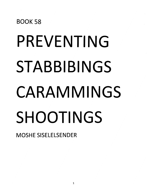# PREVENTING **STABBIBINGS CARAMMINGS SHOOTINGS**

MOSHE SISELELSENDER

**BOOK 58**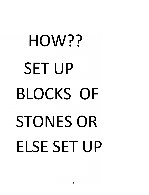# HOW?? SET UP BLOCKS OF STONES OR **ELSE** SET UP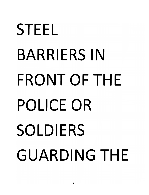# STEEL BARRIERS IN FRONT OF THE POLICE OR SOLDIERS GUARDING THE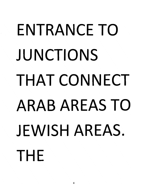#### ENTRANCE TO JUNCTIONS THAT CONNECT ARAB AREAS TO JEWISH AREAS. THE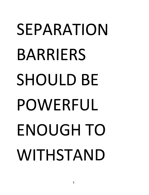### SEPARATION BARRIERS SHOULD BE POWERFUL ENOUGH TO WITHSTAND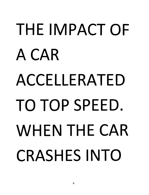### THE IMPACT OF ACAR ACCELLERATED TO TOP SPEED. WHEN THE CAR CRASHES INTO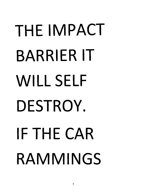# THE IMPACT BARRIER IT WILL SELF DESTROY. IF THE CAR **RAMMINGS**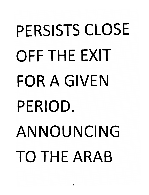### PERSISTS CLOSE OFF THE EXIT FOR A GIVEN PERIOD. ANNOUNCING TO THE ARAB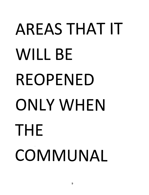### AREAS THAT IT WILL BE REOPENED ONLYWHEN THE **COMMUNAL**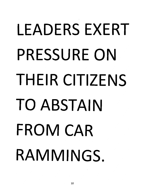### LEADERS EXERT PRESSURE ON THEIR CITIZENS TO ABSTAIN FROM CAR RAMMINGS.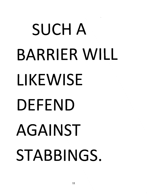### SUCH A BARRIER WILL LIKEWISE DEFEND AGAINST STABBINGS.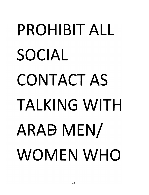### PROHIBIT ALL SOCIAL CONTACT AS TALKING WITH ARAB MEN WOMEN WHO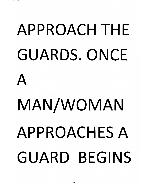# APPROACH THE GUARDS. ONCE A MAN/WOMAN APPROACHES A GUARD BEGINS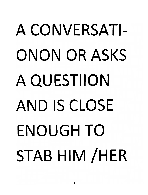### A CONVERSATI-ONON OR ASKS A QUESTIION AND IS CLOSE ENOUGH TO STAB HIM /HER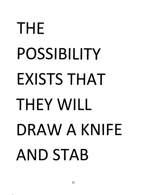### THE POSSIBILITY EXISTS THAT THEY WILL DRAW A KNIFE AND STAB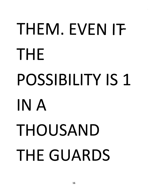### THEM. EVEN IT THE POSSIBILITY IS 1 IN A THOUSAND THE GUARDS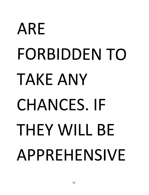### ARE FORBIDDEN TO TAKE ANY CHANCES. **IF**  THEY WILL **BE**  APPREHENSIVE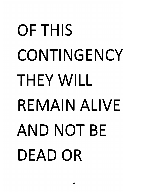### OF THIS **CONTINGENCY** THEY WILL REMAIN ALIVE AND NOT BE DEAD OR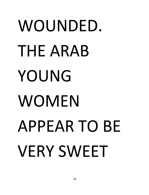### WOUNDED. THE ARAB YOUNG WOMEN APPEAR TO **BE**  VERY SWEET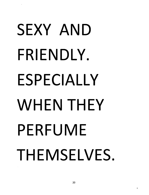### SEXY AND **FRIENDLY. ESPECIALLY**  WHEN THEY **PERFUME THEMSELVES.**

ť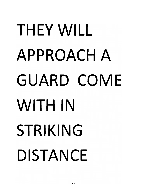### THEY WILL APPROACH A GUARD COME WITH IN STRIKING DISTANCE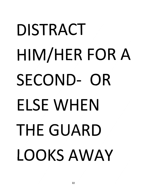### DISTRACT HIM/HER FOR A SECOND- OR **ELSE** WHEN THE GUARD LOOKSAWAY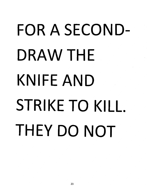### FOR A SECOND-DRAW THE **KNIFE** AND **STRIKE TO KILL.** THEY DO NOT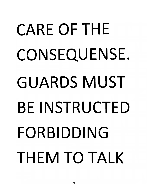# CARE OF THE CONSEQUENSE. GUARDS MUST BEINSTRUCTED FORBIDDING THEM TO TALK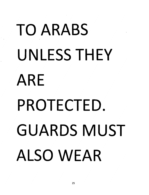### TO ARABS UNLESS THEY ARE PROTECTED. GUARDS MUST ALSO WEAR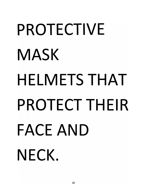#### **PROTECTIVE MASK HELMETS** THAT **PROTECT THEIR FACE** AND **NECK.**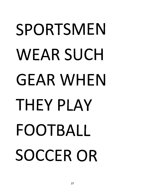### SPORTSMEN WEAR SUCH GEAR WHEN THEY PLAY FOOTBALL SOCCER OR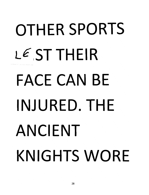### **OTHER SPORTS**  l€IST **THEIR** --- ----~---- **FACE** CAN **BE INJURED. THE ANCIENT KNIGHTS WORE**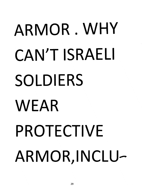# ARMOR. WHY CAN'T **ISRAELI SOLDIERS**  WEAR PROTECTIVE ARMOR, INCLU-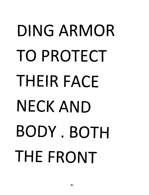### DING ARMOR TO PROTECT THEIR FACE NECK AND BODY. BOTH THE FRONT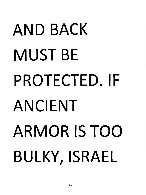### AND BACK MUST **BE**  PROTECTED. **IF**  ANCIENT ARMOR **IS** TOO BULKY, ISRAEL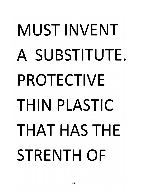### MUST INVENT A SU BSTITUTE. PROTECTIVE THIN PLASTIC THAT HAS THE STRENTH OF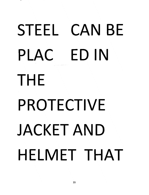#### **STEEL** CAN **BE PLAC ED IN THE PROTECTIVE JACKET** AND **HELMET** THAT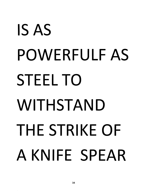### IS AS POWERFULF AS STEEL TO WITHSTAND THE STRIKE OF A KNIFE SPEAR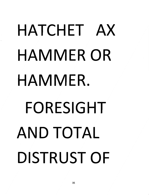# HATCHET AX HAMMER OR HAMMER. FORESIGHT AND TOTAL DISTRUST OF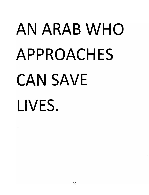### AN ARAB WHO APPROACHES CAN SAVE **LIVES.**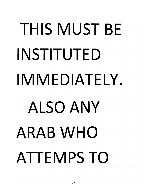# **THIS MUST BE INSTITUTED IMMEDIATELY. ALSO ANY ARAB WHO ATTEMPS TO**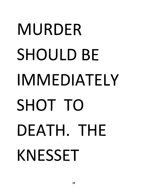### MURDER SHOULD **BE**  IMMEDIATELY SHOT TO DEATH. THE KNESSET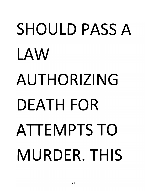### SHOULD PASS A LAW AUTHORIZING DEATH FOR ATTEMPTS TO MURDER. THIS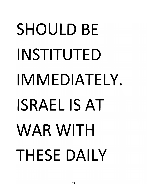### SHOULD BE INSTITUTED IMMEDIATELY. ISRAEL IS AT WAR WITH THESE DAILY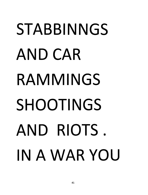### **STABBINNGS** AND CAR **RAMMINGS** SHOOTINGS AND RIOTS. IN A WAR YOU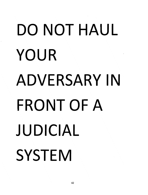# DO NOT HAUL YOUR ADVERSARY IN FRONT OF A JUDICIAL **SYSTEM**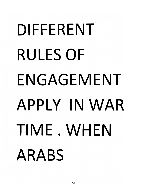### DIFFERENT RULES OF ENGAGEMENT APPLY IN WAR TIME. WHEN ARABS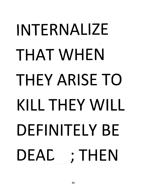### INTERNALIZE THAT WHEN THEY ARISE TO KILL THEY WILL DEFINITELY BE DEAC ;THEN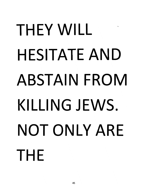#### THEY WILL HESITATE AND ABSTAIN FROM KILLING JEWS. NOT ONLY ARE THE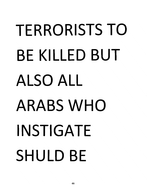### **TERRORISTS TO BE KILLED BUT ALSO ALL ARABS** WHO **INSTIGATE SHULD BE**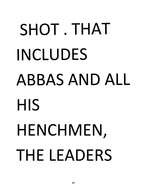#### SHOT.THAT INCLUDES ABBAS AND ALL **HIS** HENCHMEN, THE LEADERS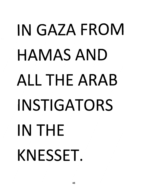### IN GAZA FROM HAMASAND ALL THE ARAB INSTIGATORS IN THE KNESSET.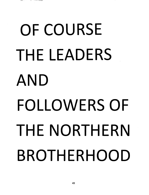### OF COURSE THE LEADERS AND FOLLOWERS OF THE NORTHERN BROTHERHOOD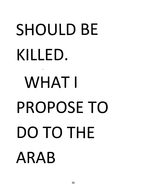# SHOULD **BE**  KILLED. WHAT I PROPOSE TO DO TO THE ARAB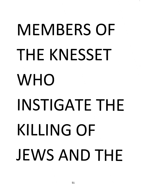### **MEMBERS OF THE KNESSET**  WHO **INSTIGATE THE KILLING OF JEWS** AND **THE**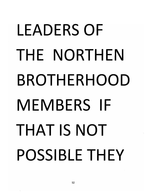### LEADERS OF THE NORTHEN BROTHERHOOD MEMBERS IF THAT IS NOT POSSIBLE THEY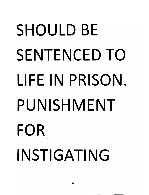### SHOULD **BE**  SENTENCED TO **LI FE I N** PRISON. PUNISHMENT FOR INSTIGATING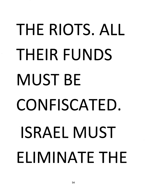# THE RIOTS. ALL THEIR FUNDS MUST BE CONFISCATED. ISRAEL MUST ELIMINATE THE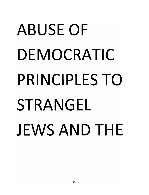### ABUSE OF DEMOCRATIC PRINCIPLES TO STRANGEL JEWS AND THE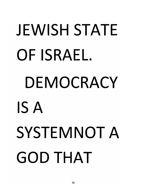### JEWISH STATE OF ISRAEL. DEMOCRACY **IS A**  SYSTEMNOT A GOD THAT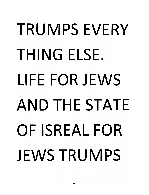### TRUMPS EVERY THING ELSE. LIFE FOR JEWS AND THE STATE OF ISREAL FOR JEWS TRUMPS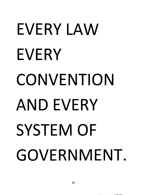### EVERY LAW EVERY CONVENTION AND EVERY SYSTEM OF GOVERNMENT.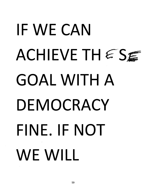### IF WE CAN ACHIEVE THESE GOAL WITH A DEMOCRACY FINE. IF NOT WE WILL